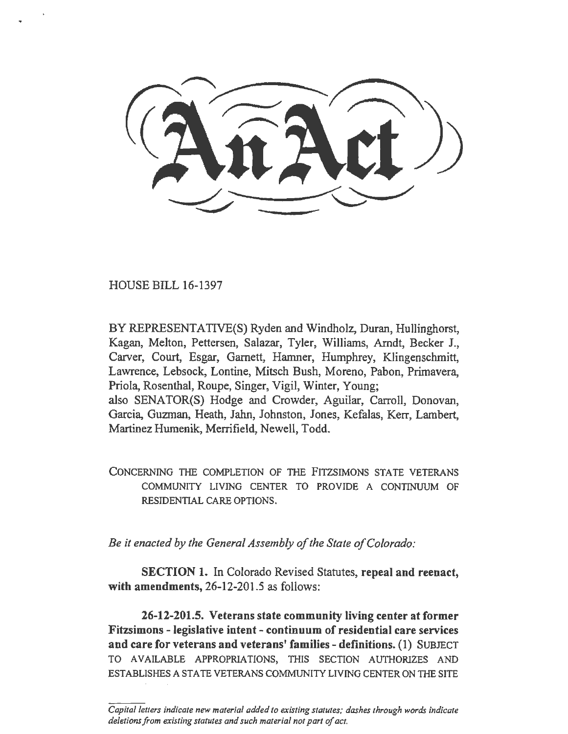HOUSE BILL 16-1397

BY REPRESENTATIVE(S) Ryden and Windholz, Duran, Hullinghorst, Kagan, Melton, Pettersen, Salazar, Tyler, Williams, Arndt, Becker J., Carver, Court, Esgar, Garnett, Hamner, Humphrey, Klingenschmitt, Lawrence, Lebsock, Lontine, Mitsch Bush, Moreno, Pabon, Primavera, Priola, Rosenthal, Roupe, Singer, Vigil, Winter, Young; also SENATOR(S) Hodge and Crowder, Aguilar, Carroll, Donovan, Garcia, Guzman, Heath, Jahn, Johnston, Jones, Kefalas, Kerr, Lambert, Martinez Humenik, Merrifield, Newell, Todd.

CONCERNING THE COMPLETION OF THE FITZSIMONS STATE VETERANS COMMUNITY LIVING CENTER TO PROVIDE A CONTINUUM OF RESIDENTIAL CARE OPTIONS.

*Be it enacted by the General Assembly of the State of Colorado:* 

SECTION 1. In Colorado Revised Statutes, repeal and reenact, with amendments, 26-12-201.5 as follows:

26-12-201.5. Veterans state community living center at former Fitzsimons - legislative intent- continuum of residential care services and care for veterans and veterans' families - definitions. (I) SUBJECT TO AVAILABLE APPROPRIATIONS, THIS SECTION AUTHORIZES AND ESTABLISHES A STA TE VETERANS COMMUNITY LIVING CENTER ON THE SITE

*Capital letters indicate new material added to existing statutes; dashes through words indicate deletions from existing statutes and such material not part of act.*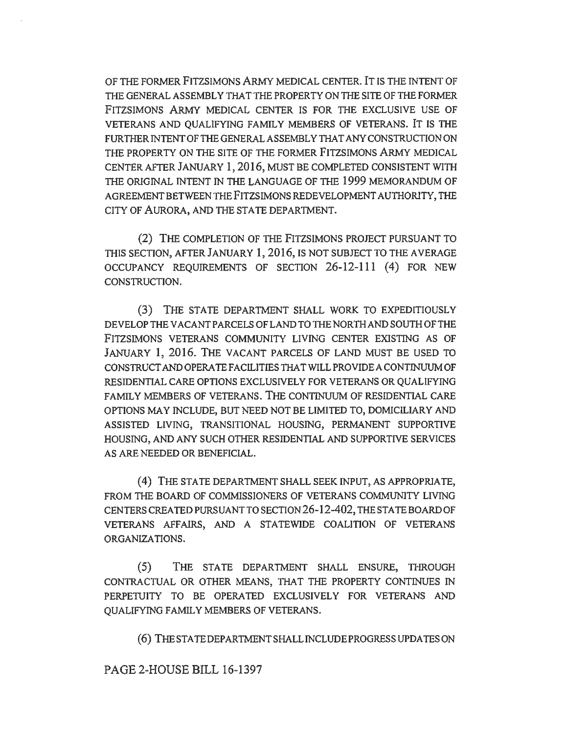OF THE FORMER FITZSIMONS ARMY MEDICAL CENTER. IT IS THE INTENT OF THE GENERAL ASSEMBLY THAT THE PROPERTY ON THE SITE OF THE FORMER FITZSIMONS ARMY MEDICAL CENTER IS FOR THE EXCLUSIVE USE OF VETERANS AND QUALIFYING FAMILY MEMBERS OF VETERANS. IT IS THE FURTHER INTENT OF THE GENERAL ASSEMBLY THAT ANY CONSTRUCTION ON THE PROPERTY ON THE SITE OF THE FORMER FITZSIMONS ARMY MEDICAL CENTER AFTER JANUARY 1, 2016, MUST BE COMPLETED CONSISTENT WITH THE ORIGINAL INTENT IN THE LANGUAGE OF THE 1999 MEMORANDUM OF AGREEMENT BETWEEN THE FITZSIMONS REDEVELOPMENT AUTHORITY, THE CITY OF AURORA, AND THE STATE DEPARTMENT.

(2) THE COMPLETION OF THE FITZSlMONS PROJECT PURSUANT TO THIS SECTION, AFTER JANUARY 1, 2016, IS NOT SUBJECT TO THE AVERAGE OCCUPANCY REQUIREMENTS OF SECTION 26-12-111 (4) FOR NEW CONSTRUCTION.

(3) THE STATE DEPARTMENT SHALL WORK TO EXPEDITIOUSLY DEVELOP THE VACANT PARCELS OF LAND TO THE NORTH AND SOUTH OF THE FITZSIMONS VETERANS COMMUNITY LIVING CENTER EXISTING AS OF JANUARY 1, 2016. THE VACANT PARCELS OF LAND MUST BE USED TO CONSTRUCT AND OPERA TE FACILITIES THA TWILL PROVIDE A CONTINUUM OF RESIDENTIAL CARE OPTIONS EXCLUSIVELY FOR VETERANS OR QUALIFYING FAMILY MEMBERS OF VETERANS. THE CONTINUUM OF RESIDENTIAL CARE OPTIONS MAY INCLUDE, BUT NEED NOT BE LIMITED TO, DOMICILIARY AND ASSISTED LIVING, TRANSITIONAL HOUSING, PERMANENT SUPPORTIVE HOUSING, AND ANY SUCH OTHER RESIDENTIAL AND SUPPORTIVE SERVICES AS ARE NEEDED OR BENEFICIAL.

(4) THE STATE DEPARTMENT SHALL SEEK INPUT, AS APPROPRIATE, FROM THE BOARD OF COMMISSIONERS OF VETERANS COMMUNITY LIVING CENTERS CREATED PURSUANT TO SECTION 26-12-402, THE STA TE BOARD OF VETERANS AFFAIRS, AND A STATEWIDE COALITION OF VETERANS ORGANIZATIONS.

(5) THE STATE DEPARTMENT SHALL ENSURE, THROUGH CONTRACTUAL OR OTHER MEANS, THAT THE PROPERTY CONTINUES IN PERPETUITY TO BE OPERATED EXCLUSIVELY FOR VETERANS AND QUALIFYING FAMILY MEMBERS OF VETERANS.

(6)THESTATEDEPARTMENTSHALLINCLUDEPROGRESSUPDATESON

PAGE 2-HOUSE BILL 16-1397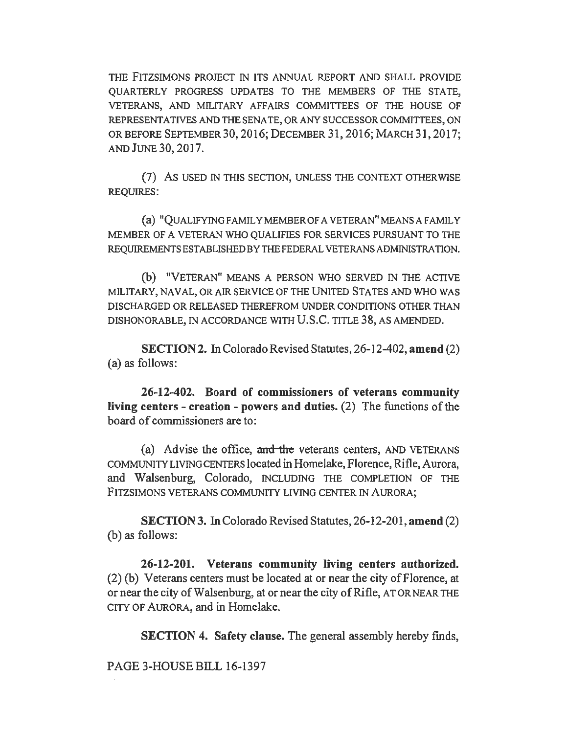THE FITZSIMONS PROJECT IN ITS ANNUAL REPORT AND SHALL PROVIDE QUARTERLY PROGRESS UPDATES TO THE MEMBERS OF THE STATE, VETERANS, AND MILITARY AFFAIRS COMMITTEES OF THE HOUSE OF REPRESENTATIVES AND THE SENATE, OR ANY SUCCESSOR COMMITTEES, ON OR BEFORE SEPTEMBER 30, 2016; DECEMBER 31, 2016; MARCH 31, 2017; AND JUNE 30, 2017.

(7) As USED IN THlS SECTION, UNLESS THE CONTEXT OTHERWISE REQUIRES:

(a) "QUALIFYINGFAMILYMEMBEROFAVETERAN"MEANSAFAMILY MEMBER OF A VETERAN WHO QUALIFIES FOR SERVICES PURSUANT TO THE REQUIREMENTS ESTABLISHED BY THE FEDERAL VETERANS ADMINISTRATION.

{b) "VETERAN" MEANS A PERSON WHO SERVED IN THE ACTIVE MILITARY, NAVAL, OR AIR SERVICE OF THE UNITED STATES AND WHO WAS DISCHARGED OR RELEASED THEREFROM UNDER CONDITIONS OTHER THAN DISHONORABLE, IN ACCORDANCE WITH U.S.C. TITLE 38, AS AMENDED.

SECTION 2. In Colorado Revised Statutes, 26-12-402, amend (2) (a) as follows:

26-12-402. Board of commissioners of veterans community living centers - creation - powers and duties. (2) The functions of the board of commissioners are to:

(a) Advise the office, and the veterans centers, AND VETERANS COMMUNITY LIVING CENTERS located in Homelake, Florence, Rifle, Aurora, and Walsenburg, Colorado, INCLUDING THE COMPLETION OF THE FITZSIMONS VETERANS COMMUNITY LIVING CENTER IN AURORA;

SECTION 3. In Colorado Revised Statutes, 26-12-201, amend (2) (b) as follows:

26-12-201. Veterans community living centers authorized. (2) (b) Veterans centers must be located at or near the city of Florence, at or near the city of Walsenburg, at or near the city of Rifle, ATOR NEAR THE CITY OF AURORA, and in Homelake.

SECTION 4. Safety clause. The general assembly hereby finds,

PAGE 3-HOUSE BILL 16-1397